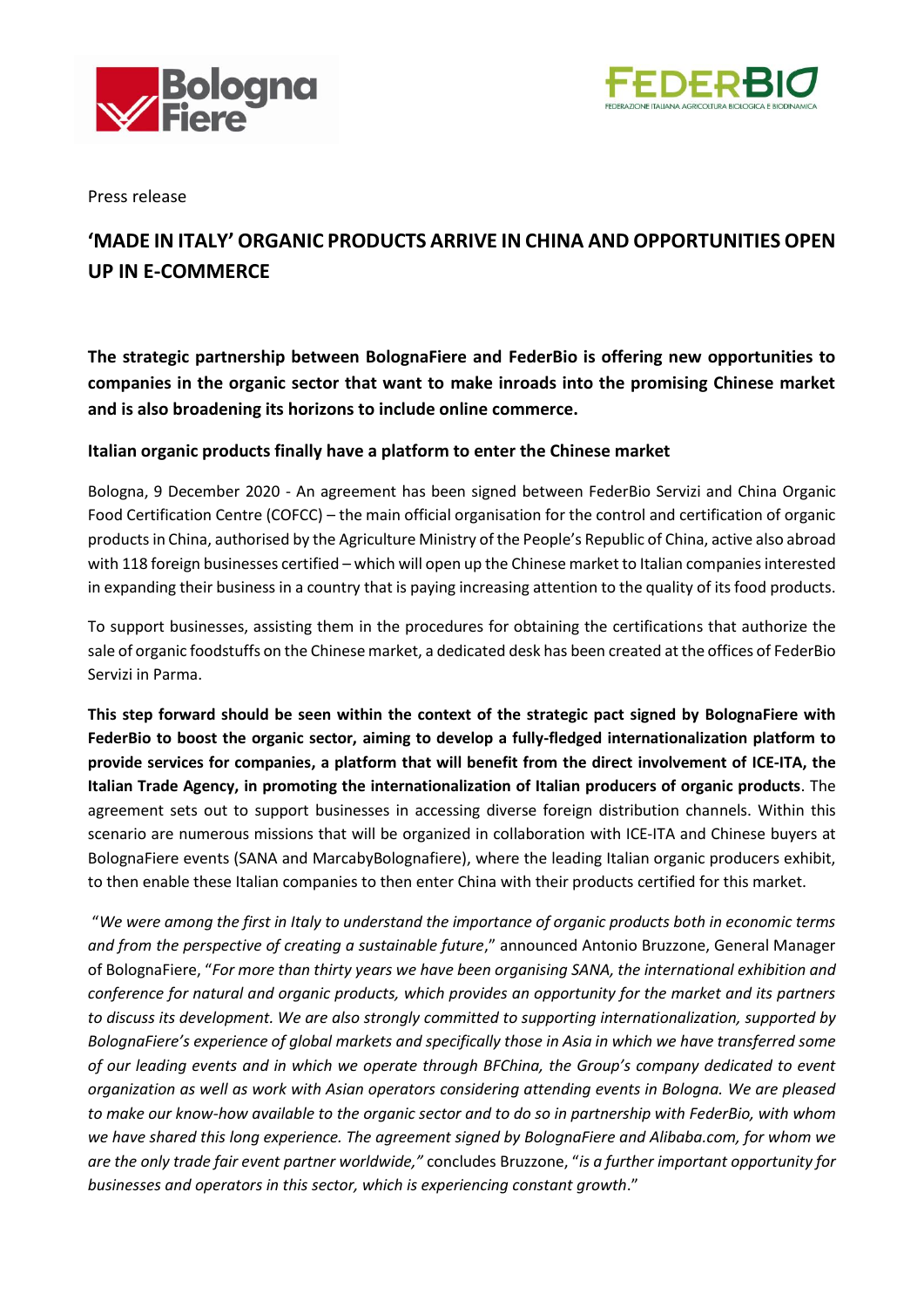



Press release

## **'MADE IN ITALY' ORGANIC PRODUCTS ARRIVE IN CHINA AND OPPORTUNITIES OPEN UP IN E-COMMERCE**

**The strategic partnership between BolognaFiere and FederBio is offering new opportunities to companies in the organic sector that want to make inroads into the promising Chinese market and is also broadening its horizons to include online commerce.**

## **Italian organic products finally have a platform to enter the Chinese market**

Bologna, 9 December 2020 - An agreement has been signed between FederBio Servizi and China Organic Food Certification Centre (COFCC) – the main official organisation for the control and certification of organic products in China, authorised by the Agriculture Ministry of the People's Republic of China, active also abroad with 118 foreign businesses certified – which will open up the Chinese market to Italian companies interested in expanding their business in a country that is paying increasing attention to the quality of its food products.

To support businesses, assisting them in the procedures for obtaining the certifications that authorize the sale of organic foodstuffs on the Chinese market, a dedicated desk has been created at the offices of FederBio Servizi in Parma.

**This step forward should be seen within the context of the strategic pact signed by BolognaFiere with FederBio to boost the organic sector, aiming to develop a fully-fledged internationalization platform to provide services for companies, a platform that will benefit from the direct involvement of ICE-ITA, the Italian Trade Agency, in promoting the internationalization of Italian producers of organic products**. The agreement sets out to support businesses in accessing diverse foreign distribution channels. Within this scenario are numerous missions that will be organized in collaboration with ICE-ITA and Chinese buyers at BolognaFiere events (SANA and MarcabyBolognafiere), where the leading Italian organic producers exhibit, to then enable these Italian companies to then enter China with their products certified for this market.

"*We were among the first in Italy to understand the importance of organic products both in economic terms and from the perspective of creating a sustainable future*," announced Antonio Bruzzone, General Manager of BolognaFiere, "*For more than thirty years we have been organising SANA, the international exhibition and conference for natural and organic products, which provides an opportunity for the market and its partners to discuss its development. We are also strongly committed to supporting internationalization, supported by BolognaFiere's experience of global markets and specifically those in Asia in which we have transferred some of our leading events and in which we operate through BFChina, the Group's company dedicated to event organization as well as work with Asian operators considering attending events in Bologna. We are pleased to make our know-how available to the organic sector and to do so in partnership with FederBio, with whom we have shared this long experience. The agreement signed by BolognaFiere and Alibaba.com, for whom we are the only trade fair event partner worldwide,"* concludes Bruzzone, "*is a further important opportunity for businesses and operators in this sector, which is experiencing constant growth*."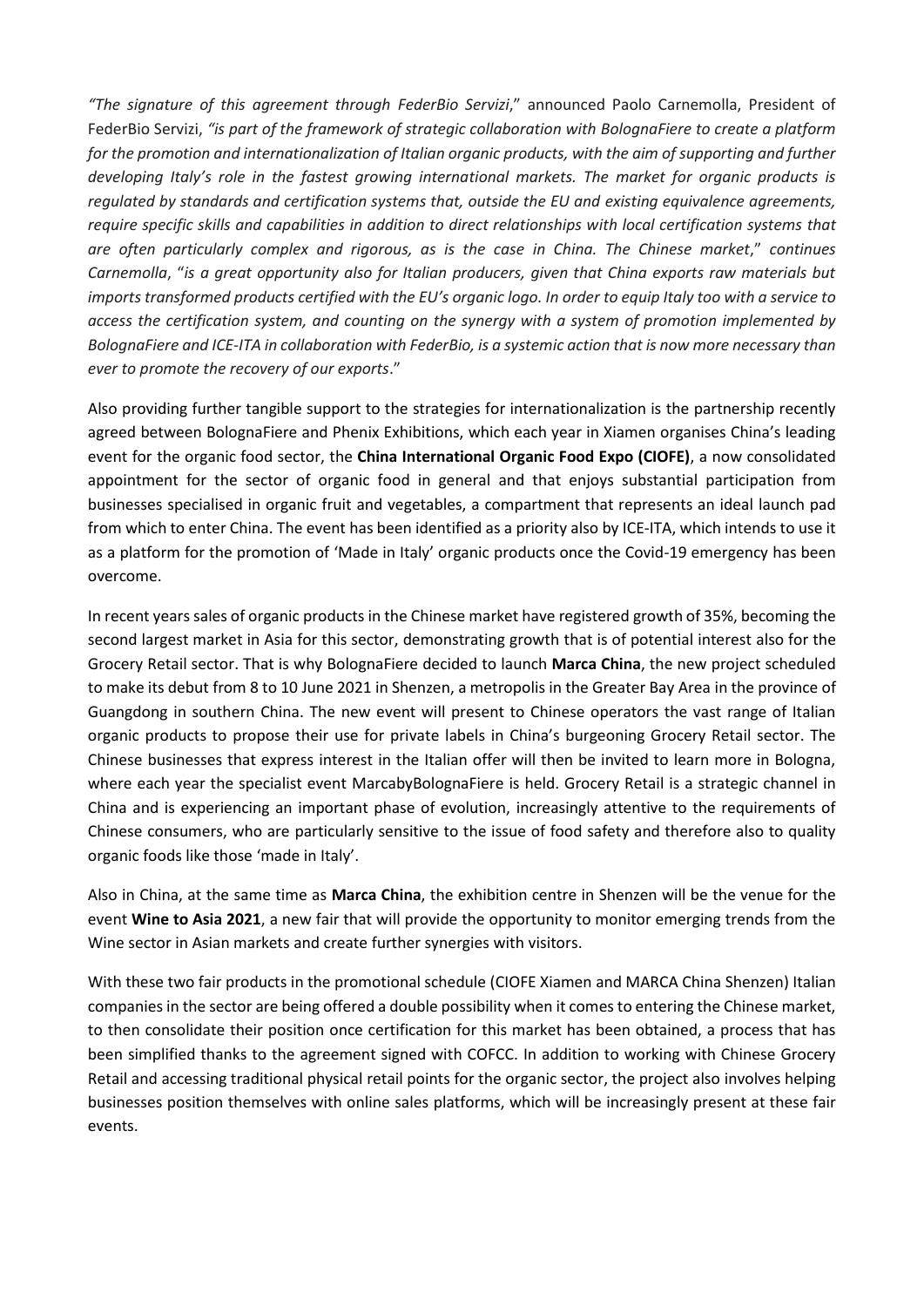*"The signature of this agreement through FederBio Servizi*," announced Paolo Carnemolla, President of FederBio Servizi, *"is part of the framework of strategic collaboration with BolognaFiere to create a platform*  for the promotion and internationalization of Italian organic products, with the aim of supporting and further *developing Italy's role in the fastest growing international markets. The market for organic products is regulated by standards and certification systems that, outside the EU and existing equivalence agreements, require specific skills and capabilities in addition to direct relationships with local certification systems that are often particularly complex and rigorous, as is the case in China. The Chinese market*," *continues Carnemolla*, "*is a great opportunity also for Italian producers, given that China exports raw materials but imports transformed products certified with the EU's organic logo. In order to equip Italy too with a service to access the certification system, and counting on the synergy with a system of promotion implemented by BolognaFiere and ICE-ITA in collaboration with FederBio, is a systemic action that is now more necessary than ever to promote the recovery of our exports*."

Also providing further tangible support to the strategies for internationalization is the partnership recently agreed between BolognaFiere and Phenix Exhibitions, which each year in Xiamen organises China's leading event for the organic food sector, the **China International Organic Food Expo (CIOFE)**, a now consolidated appointment for the sector of organic food in general and that enjoys substantial participation from businesses specialised in organic fruit and vegetables, a compartment that represents an ideal launch pad from which to enter China. The event has been identified as a priority also by ICE-ITA, which intends to use it as a platform for the promotion of 'Made in Italy' organic products once the Covid-19 emergency has been overcome.

In recent years sales of organic products in the Chinese market have registered growth of 35%, becoming the second largest market in Asia for this sector, demonstrating growth that is of potential interest also for the Grocery Retail sector. That is why BolognaFiere decided to launch **Marca China**, the new project scheduled to make its debut from 8 to 10 June 2021 in Shenzen, a metropolis in the Greater Bay Area in the province of Guangdong in southern China. The new event will present to Chinese operators the vast range of Italian organic products to propose their use for private labels in China's burgeoning Grocery Retail sector. The Chinese businesses that express interest in the Italian offer will then be invited to learn more in Bologna, where each year the specialist event MarcabyBolognaFiere is held. Grocery Retail is a strategic channel in China and is experiencing an important phase of evolution, increasingly attentive to the requirements of Chinese consumers, who are particularly sensitive to the issue of food safety and therefore also to quality organic foods like those 'made in Italy'.

Also in China, at the same time as **Marca China**, the exhibition centre in Shenzen will be the venue for the event **Wine to Asia 2021**, a new fair that will provide the opportunity to monitor emerging trends from the Wine sector in Asian markets and create further synergies with visitors.

With these two fair products in the promotional schedule (CIOFE Xiamen and MARCA China Shenzen) Italian companies in the sector are being offered a double possibility when it comes to entering the Chinese market, to then consolidate their position once certification for this market has been obtained, a process that has been simplified thanks to the agreement signed with COFCC. In addition to working with Chinese Grocery Retail and accessing traditional physical retail points for the organic sector, the project also involves helping businesses position themselves with online sales platforms, which will be increasingly present at these fair events.